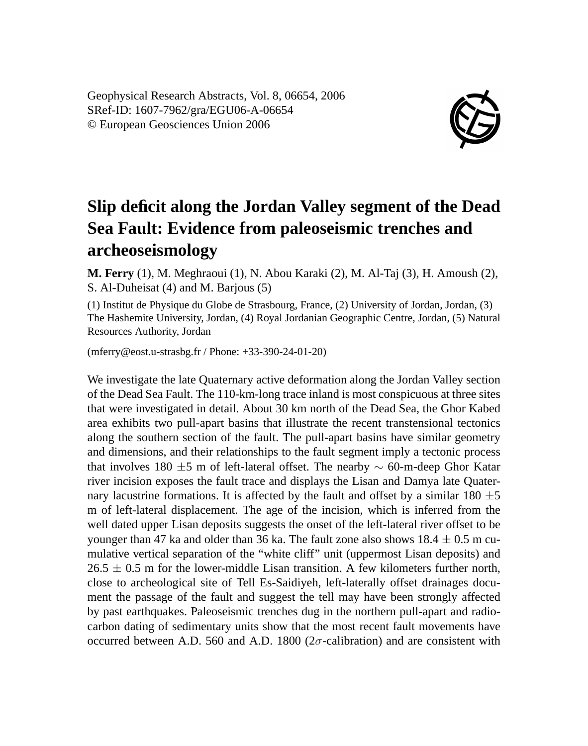Geophysical Research Abstracts, Vol. 8, 06654, 2006 SRef-ID: 1607-7962/gra/EGU06-A-06654 © European Geosciences Union 2006



## **Slip deficit along the Jordan Valley segment of the Dead Sea Fault: Evidence from paleoseismic trenches and archeoseismology**

**M. Ferry** (1), M. Meghraoui (1), N. Abou Karaki (2), M. Al-Taj (3), H. Amoush (2), S. Al-Duheisat (4) and M. Barjous (5)

(1) Institut de Physique du Globe de Strasbourg, France, (2) University of Jordan, Jordan, (3) The Hashemite University, Jordan, (4) Royal Jordanian Geographic Centre, Jordan, (5) Natural Resources Authority, Jordan

(mferry@eost.u-strasbg.fr / Phone: +33-390-24-01-20)

We investigate the late Quaternary active deformation along the Jordan Valley section of the Dead Sea Fault. The 110-km-long trace inland is most conspicuous at three sites that were investigated in detail. About 30 km north of the Dead Sea, the Ghor Kabed area exhibits two pull-apart basins that illustrate the recent transtensional tectonics along the southern section of the fault. The pull-apart basins have similar geometry and dimensions, and their relationships to the fault segment imply a tectonic process that involves 180  $\pm$ 5 m of left-lateral offset. The nearby  $\sim$  60-m-deep Ghor Katar river incision exposes the fault trace and displays the Lisan and Damya late Quaternary lacustrine formations. It is affected by the fault and offset by a similar  $180 \pm 5$ m of left-lateral displacement. The age of the incision, which is inferred from the well dated upper Lisan deposits suggests the onset of the left-lateral river offset to be younger than 47 ka and older than 36 ka. The fault zone also shows  $18.4 \pm 0.5$  m cumulative vertical separation of the "white cliff" unit (uppermost Lisan deposits) and  $26.5 \pm 0.5$  m for the lower-middle Lisan transition. A few kilometers further north, close to archeological site of Tell Es-Saidiyeh, left-laterally offset drainages document the passage of the fault and suggest the tell may have been strongly affected by past earthquakes. Paleoseismic trenches dug in the northern pull-apart and radiocarbon dating of sedimentary units show that the most recent fault movements have occurred between A.D. 560 and A.D. 1800 ( $2\sigma$ -calibration) and are consistent with